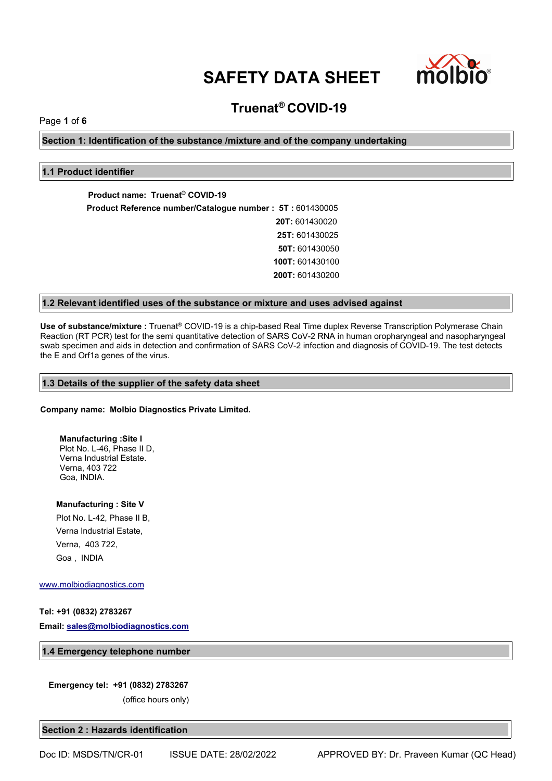

# **Truenat® COVID-19**

Page **1** of **6**

**Section 1: Identification of the substance /mixture and of the company undertaking**

# **1.1 Product identifier**

**Product name: Truenat® COVID-19 Product Reference number/Catalogue number : 5T :** 601430005 **20T:** 601430020 **25T:** 601430025 **50T:** 601430050 **100T:** 601430100 **200T:** 601430200

# **1.2 Relevant identified uses of the substance or mixture and uses advised against**

**Use of substance/mixture :** Truenat® COVID-19 isa chip-based Real Time duplex Reverse Transcription Polymerase Chain Reaction (RT PCR) test for the semi quantitative detection of SARS CoV-2 RNA in human oropharyngeal and nasopharyngeal swab specimen and aids in detection and confirmation of SARS CoV-2 infection and diagnosis of COVID-19. The test detects the E and Orf1a genes of the virus.

# **1.3 Details of the supplier of the safety data sheet**

# **Company name: Molbio Diagnostics Private Limited.**

**Manufacturing :Site I** Plot No. L-46, Phase II D, Verna Industrial Estate. Verna, 403 722 Goa, INDIA.

**Manufacturing : Site V**

Plot No. L-42, Phase II B, Verna Industrial Estate, Verna, 403 722, Goa , INDIA

[www.molbiodiagnostics.com](http://www.molbiodiagnostics.com)

# **Tel: +91 (0832) 2783267**

**Email: [sales@molbiodiagnostics.com](mailto:sales@molbiodiagnostics.com)**

**1.4 Emergency telephone number**

#### **Emergency tel: +91 (0832) 2783267**

(office hours only)

**Section 2 : Hazards identification**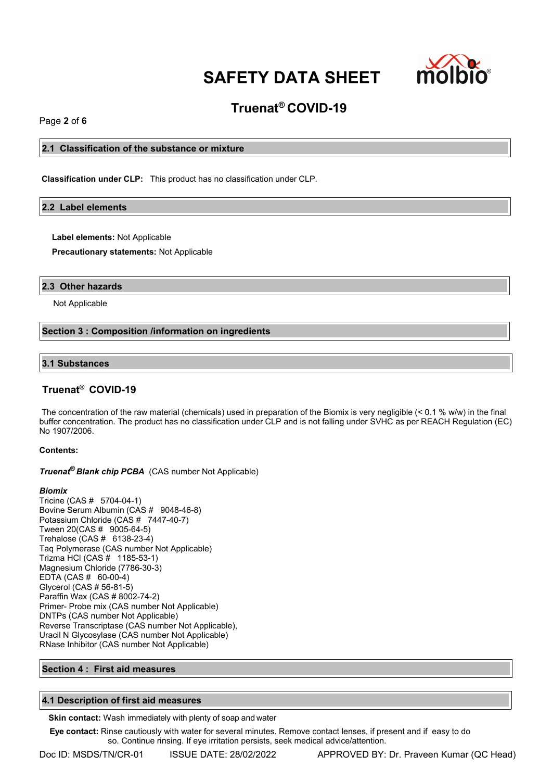

# **Truenat® COVID-19**

Page **2** of **6**

# **2.1 Classification of the substance or mixture**

**Classification under CLP:** This product has no classification under CLP.

#### **2.2 Label elements**

**Label elements:** Not Applicable

**Precautionary statements:** Not Applicable

### **2.3 Other hazards**

Not Applicable

#### **Section 3 : Composition /information on ingredients**

#### **3.1 Substances**

# **Truenat® COVID-19**

The concentration of the raw material (chemicals) used in preparation of the Biomix is very negligible (< 0.1 % w/w) in the final buffer concentration. The product has no classification under CLP and is not falling under SVHC as per REACH Regulation (EC) No 1907/2006.

#### **Contents:**

**Truenat<sup>®</sup> Blank chip PCBA** (CAS number Not Applicable)

#### *Biomix*

Tricine (CAS # 5704-04-1) Bovine Serum Albumin (CAS # 9048-46-8) Potassium Chloride (CAS # 7447-40-7) Tween 20(CAS # 9005-64-5) Trehalose (CAS # 6138-23-4) Taq Polymerase (CAS number Not Applicable) Trizma HCl (CAS # 1185-53-1) Magnesium Chloride (7786-30-3) EDTA (CAS # 60-00-4) Glycerol (CAS # 56-81-5) Paraffin Wax (CAS # 8002-74-2) Primer- Probe mix (CAS number Not Applicable) DNTPs (CAS number Not Applicable) Reverse Transcriptase (CAS number Not Applicable), Uracil N Glycosylase (CAS number Not Applicable) RNase Inhibitor (CAS number Not Applicable)

### **Section 4 : First aid measures**

### **4.1 Description of first aid measures**

**Skin contact:** Wash immediately with plenty of soap and water

**Eye contact:** Rinse cautiously with water for several minutes. Remove contact lenses, if present and if easy to do so. Continue rinsing. If eye irritation persists, seek medical advice/attention.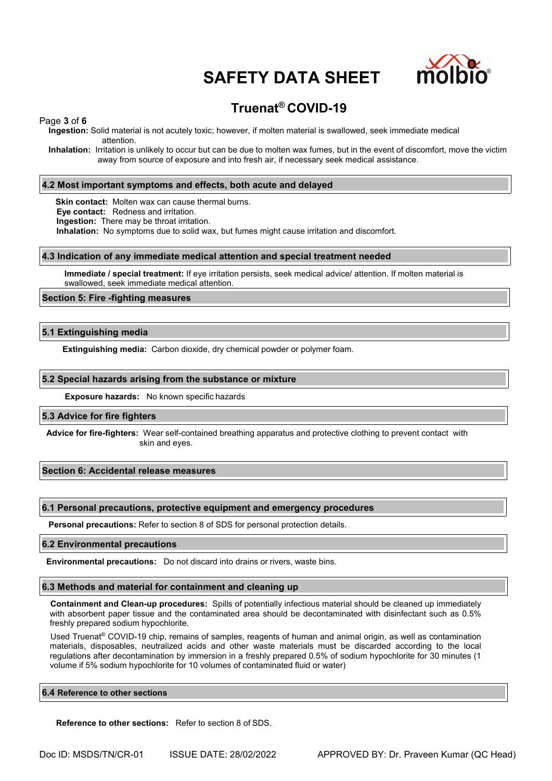

# **Truenat® COVID-19**

## Page **3** of **6**

**Ingestion:** Solid material is not acutely toxic; however, if molten material is swallowed, seek immediate medical attention.

**Inhalation:** Irritation is unlikely to occur but can be due to molten wax fumes, but in the event of discomfort, move the victim away from source of exposure and into fresh air, if necessary seek medical assistance.

## **4.2 Most important symptoms and effects, both acute and delayed**

**Skin contact:** Molten wax can cause thermal burns.

**Eye contact:** Redness and irritation.

**Ingestion:** There may be throat irritation.

**Inhalation:** No symptoms due to solid wax, but fumes might cause irritation and discomfort.

#### **4.3 Indication of any immediate medical attention and special treatment needed**

**Immediate / special treatment:** If eye irritation persists, seek medical advice/ attention. If molten material is swallowed, seek immediate medical attention.

#### **Section 5: Fire -fighting measures**

# **5.1 Extinguishing media**

**Extinguishing media:** Carbon dioxide, dry chemical powder or polymer foam.

#### **5.2 Special hazards arising from the substance or mixture**

**Exposure hazards:** No known specific hazards

#### **5.3 Advice for fire fighters**

**Advice for fire-fighters:** Wear self-contained breathing apparatus and protective clothing to prevent contact with skin and eyes.

#### **Section 6: Accidental release measures**

#### **6.1 Personal precautions, protective equipment and emergency procedures**

**Personal precautions:** Refer to section 8 of SDS for personal protection details.

#### **6.2 Environmental precautions**

**Environmental precautions:** Do not discard into drains or rivers, waste bins.

#### **6.3 Methods and material for containment and cleaning up**

**Containment and Clean-up procedures:** Spills of potentially infectious material should be cleaned up immediately with absorbent paper tissue and the contaminated area should be decontaminated with disinfectant such as 0.5% freshly prepared sodium hypochlorite.

Used Truenat® COVID-19 chip, remains of samples, reagents of human and animal origin, as well as contamination materials, disposables, neutralized acids and other waste materials must be discarded according to the local regulations after decontamination by immersion in a freshly prepared 0.5% of sodium hypochlorite for 30 minutes (1 volume if 5% sodium hypochlorite for 10 volumes of contaminated fluid or water)

#### **6.4 Reference to other sections**

**Reference to other sections:** Refer to section 8 of SDS.

Doc ID: MSDS/TN/CR-01 ISSUE DATE: 28/02/2022 APPROVED BY: Dr. Praveen Kumar (QC Head)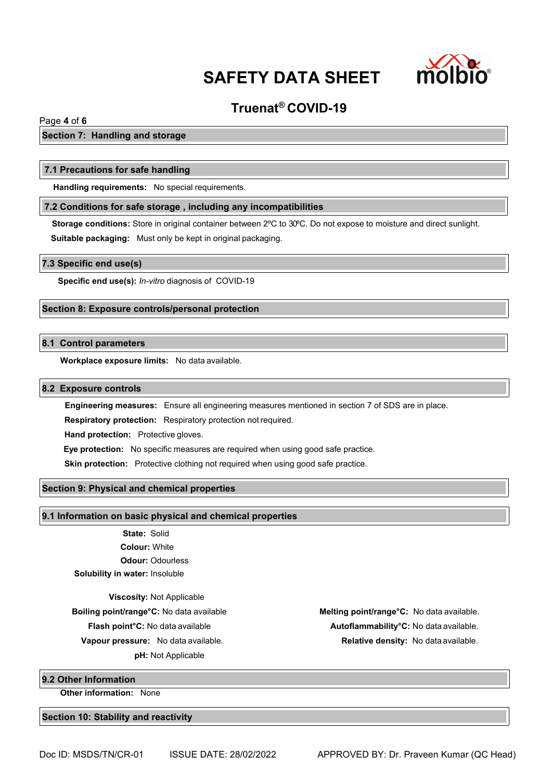

# **Truenat® COVID-19**

# Page **4** of **6**

# **Section 7: Handling and storage**

#### **7.1 Precautions for safe handling**

**Handling requirements:** No special requirements.

## **7.2 Conditions for safe storage , including any incompatibilities**

**Storage conditions:** Store in original container between 2ºC to 30ºC. Do not expose to moisture and direct sunlight. **Suitable packaging:** Must only be kept in original packaging.

#### **7.3 Specific end use(s)**

**Specific end use(s):** *In-vitro* diagnosis of COVID-19

# **Section 8: Exposure controls/personal protection**

# **8.1 Control parameters**

**Workplace exposure limits:** No data available.

#### **8.2 Exposure controls**

**Engineering measures:** Ensure all engineering measures mentioned in section 7 of SDS are in place.

**Respiratory protection:** Respiratory protection notrequired.

**Hand protection:** Protective gloves.

**Eye protection:** No specific measures are required when using good safe practice.

**Skin protection:** Protective clothing not required when using good safe practice.

## **Section 9: Physical and chemical properties**

#### **9.1 Information on basic physical and chemical properties**

**State:** Solid **Colour:** White **Odour:** Odourless **Solubility in water:** Insoluble

**Viscosity:** Not Applicable **Vapour pressure:** No data available. **Relative density:** No data available. **pH:** Not Applicable

**Boiling point/range°C:** No data available **Melting point/range°C:** No data available. **Flash point°C:** No data available **Autoflammability°C:** No data available.

#### **9.2 Other Information**

**Other information:** None

#### **Section 10: Stability and reactivity**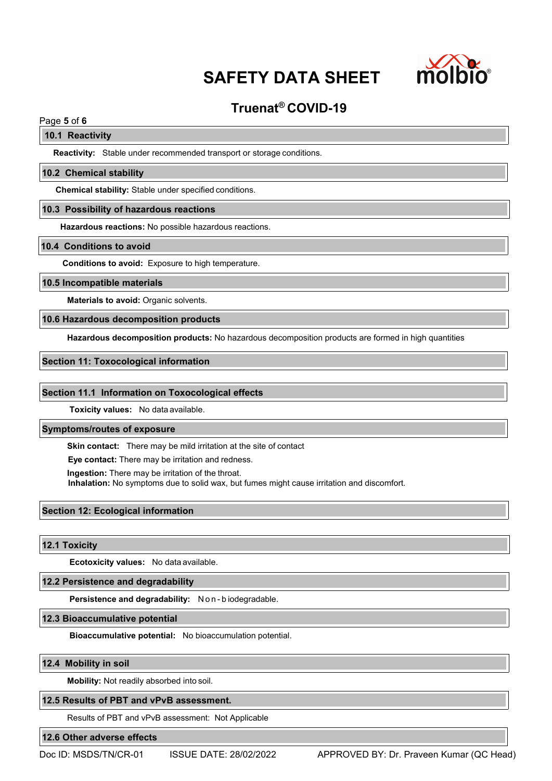

# **Truenat® COVID-19**

# Page **5** of **6**

# **10.1 Reactivity**

**Reactivity:** Stable under recommended transport or storage conditions.

#### **10.2 Chemical stability**

**Chemical stability:** Stable under specified conditions.

#### **10.3 Possibility of hazardous reactions**

**Hazardous reactions:** No possible hazardous reactions.

#### **10.4 Conditions to avoid**

**Conditions to avoid:** Exposure to high temperature.

#### **10.5 Incompatible materials**

**Materials to avoid:** Organic solvents.

# **10.6 Hazardous decomposition products**

**Hazardous decomposition products:** No hazardous decomposition products are formed in high quantities

#### **Section 11: Toxocological information**

#### **Section 11.1 Information on Toxocological effects**

**Toxicity values:** No data available.

#### **Symptoms/routes of exposure**

**Skin contact:** There may be mild irritation at the site of contact

**Eye contact:** There may be irritation and redness.

**Ingestion:** There may be irritation of the throat.

**Inhalation:** No symptoms due to solid wax, but fumes might cause irritation and discomfort.

# **Section 12: Ecological information**

#### **12.1 Toxicity**

**Ecotoxicity values:** No data available.

# **12.2 Persistence and degradability**

**Persistence and degradability:** N o n - b iodegradable.

## **12.3 Bioaccumulative potential**

**Bioaccumulative potential:** No bioaccumulation potential.

#### **12.4 Mobility in soil**

**Mobility:** Not readily absorbed into soil.

### **12.5 Results of PBT and vPvB assessment.**

Results of PBT and vPvB assessment: Not Applicable

# **12.6 Other adverse effects**